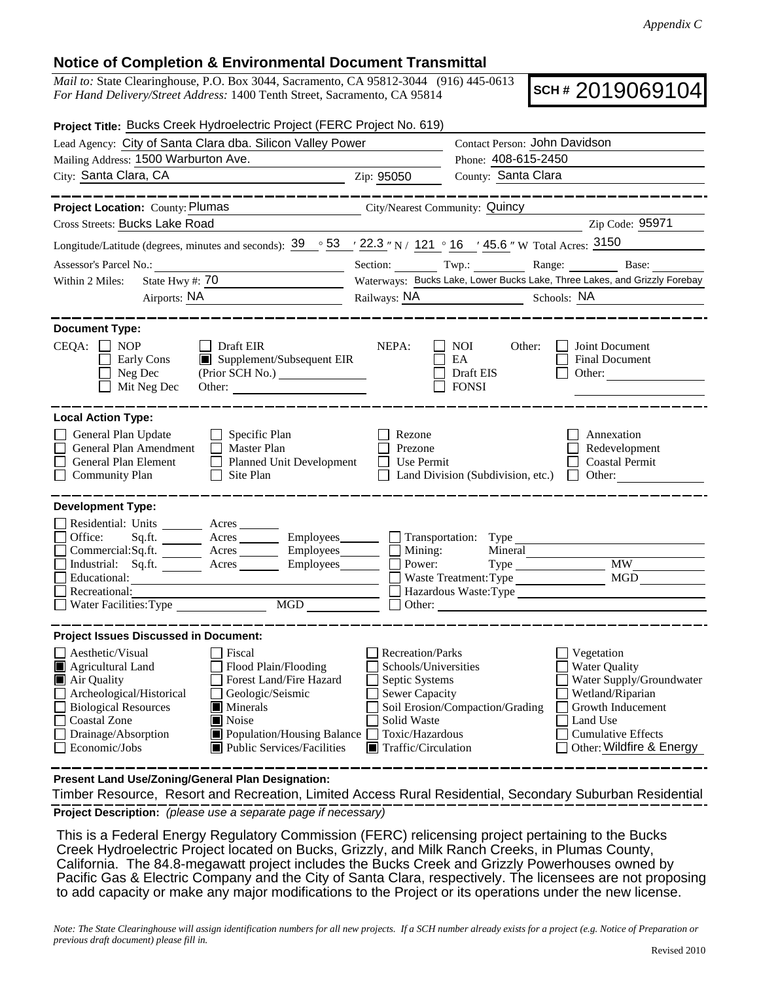## **Notice of Completion & Environmental Document Transmittal**

*Mail to:* State Clearinghouse, P.O. Box 3044, Sacramento, CA 95812-3044 (916) 445-0613 *For Hand Delivery/Street Address:* 1400 Tenth Street, Sacramento, CA 95814

**SCH #** 2019069104

| Project Title: Bucks Creek Hydroelectric Project (FERC Project No. 619)                                                                                                                                                                                                                                                                                                                                                                                                                                                                                    |                                                                                                                                                             |                                                                                                                                                                                                                 |  |
|------------------------------------------------------------------------------------------------------------------------------------------------------------------------------------------------------------------------------------------------------------------------------------------------------------------------------------------------------------------------------------------------------------------------------------------------------------------------------------------------------------------------------------------------------------|-------------------------------------------------------------------------------------------------------------------------------------------------------------|-----------------------------------------------------------------------------------------------------------------------------------------------------------------------------------------------------------------|--|
| Lead Agency: City of Santa Clara dba. Silicon Valley Power                                                                                                                                                                                                                                                                                                                                                                                                                                                                                                 | Contact Person: John Davidson                                                                                                                               |                                                                                                                                                                                                                 |  |
| Mailing Address: 1500 Warburton Ave.                                                                                                                                                                                                                                                                                                                                                                                                                                                                                                                       |                                                                                                                                                             | Phone: 408-615-2450                                                                                                                                                                                             |  |
| City: Santa Clara, CA<br><u>2</u> Zip: 95050                                                                                                                                                                                                                                                                                                                                                                                                                                                                                                               |                                                                                                                                                             | County: Santa Clara                                                                                                                                                                                             |  |
|                                                                                                                                                                                                                                                                                                                                                                                                                                                                                                                                                            |                                                                                                                                                             |                                                                                                                                                                                                                 |  |
| Project Location: County: Plumas<br>City/Nearest Community: Quincy                                                                                                                                                                                                                                                                                                                                                                                                                                                                                         |                                                                                                                                                             |                                                                                                                                                                                                                 |  |
| Cross Streets: Bucks Lake Road                                                                                                                                                                                                                                                                                                                                                                                                                                                                                                                             |                                                                                                                                                             | Zip Code: 95971                                                                                                                                                                                                 |  |
| Longitude/Latitude (degrees, minutes and seconds): $39 \degree 53$ / $22.3$ "N / 121 ° 16 / 45.6 "W Total Acres: $3150$                                                                                                                                                                                                                                                                                                                                                                                                                                    |                                                                                                                                                             |                                                                                                                                                                                                                 |  |
| Assessor's Parcel No.:                                                                                                                                                                                                                                                                                                                                                                                                                                                                                                                                     |                                                                                                                                                             | Section: Twp.: Range: Base:                                                                                                                                                                                     |  |
| State Hwy #: $\overline{70}$<br>Within 2 Miles:                                                                                                                                                                                                                                                                                                                                                                                                                                                                                                            | Waterways: Bucks Lake, Lower Bucks Lake, Three Lakes, and Grizzly Forebay                                                                                   |                                                                                                                                                                                                                 |  |
|                                                                                                                                                                                                                                                                                                                                                                                                                                                                                                                                                            |                                                                                                                                                             | Railways: NA Schools: NA                                                                                                                                                                                        |  |
| <b>Document Type:</b><br>$CEQA: \Box NP$<br>$\Box$ Draft EIR<br>Supplement/Subsequent EIR<br>Early Cons<br>Neg Dec<br>Mit Neg Dec                                                                                                                                                                                                                                                                                                                                                                                                                          | NEPA:                                                                                                                                                       | NOI —<br>Other:<br>Joint Document<br>EA<br>Final Document<br>Draft EIS<br>Other:<br><b>FONSI</b>                                                                                                                |  |
| <b>Local Action Type:</b>                                                                                                                                                                                                                                                                                                                                                                                                                                                                                                                                  |                                                                                                                                                             |                                                                                                                                                                                                                 |  |
| General Plan Update<br>$\Box$ Specific Plan<br>General Plan Amendment<br>$\Box$ Master Plan<br>Planned Unit Development<br>General Plan Element<br><b>Community Plan</b><br>$\Box$ Site Plan                                                                                                                                                                                                                                                                                                                                                               | Rezone<br>Prezone<br>EТ<br>Use Permit                                                                                                                       | Annexation<br>Redevelopment<br><b>Coastal Permit</b><br>Land Division (Subdivision, etc.)<br>$\Box$ Other:                                                                                                      |  |
| <b>Development Type:</b><br>Residential: Units ________ Acres _______<br>Sq.ft. ________ Acres __________ Employees ________ $\Box$ Transportation: Type _<br>Office:<br>Commercial:Sq.ft. ________ Acres _________ Employees ________ __ Mining:<br>Industrial: Sq.ft. <u>Acres</u> Acres Employees <b>Department Contains Acres</b> Employees <b>Department Contains Acres</b> Contains Power:<br>Educational:<br><u> 1989 - Johann Barbara, martin amerikan basar dan berasal dan berasal dalam basar dalam basar dalam basar dala</u><br>Recreational: |                                                                                                                                                             | Mineral<br>$Type \_$<br><b>MW</b><br>Waste Treatment: Type<br>MGD<br>Hazardous Waste:Type                                                                                                                       |  |
| <b>Project Issues Discussed in Document:</b>                                                                                                                                                                                                                                                                                                                                                                                                                                                                                                               |                                                                                                                                                             |                                                                                                                                                                                                                 |  |
| Aesthetic/Visual<br>  Fiscal<br>Agricultural Land<br>Flood Plain/Flooding<br>Forest Land/Fire Hazard<br>Air Quality<br>Archeological/Historical<br>Geologic/Seismic<br>$\mathbf{I}$<br>Biological Resources<br>$\blacksquare$ Minerals<br>Coastal Zone<br>$\blacksquare$ Noise<br>Drainage/Absorption<br>$\Box$ Population/Housing Balance $\Box$<br>$\Box$ Economic/Jobs<br>$\blacksquare$ Public Services/Facilities                                                                                                                                     | Recreation/Parks<br>Schools/Universities<br>Septic Systems<br><b>Sewer Capacity</b><br>Solid Waste<br>Toxic/Hazardous<br>$\blacksquare$ Traffic/Circulation | Vegetation<br><b>Water Quality</b><br>Water Supply/Groundwater<br>Wetland/Riparian<br>Soil Erosion/Compaction/Grading<br>Growth Inducement<br>Land Use<br><b>Cumulative Effects</b><br>Other: Wildfire & Energy |  |

**Present Land Use/Zoning/General Plan Designation:**

**Project Description:** *(please use a separate page if necessary)* Timber Resource, Resort and Recreation, Limited Access Rural Residential, Secondary Suburban Residential

 This is a Federal Energy Regulatory Commission (FERC) relicensing project pertaining to the Bucks Creek Hydroelectric Project located on Bucks, Grizzly, and Milk Ranch Creeks, in Plumas County, California. The 84.8-megawatt project includes the Bucks Creek and Grizzly Powerhouses owned by Pacific Gas & Electric Company and the City of Santa Clara, respectively. The licensees are not proposing to add capacity or make any major modifications to the Project or its operations under the new license.

*Note: The State Clearinghouse will assign identification numbers for all new projects. If a SCH number already exists for a project (e.g. Notice of Preparation or previous draft document) please fill in.*